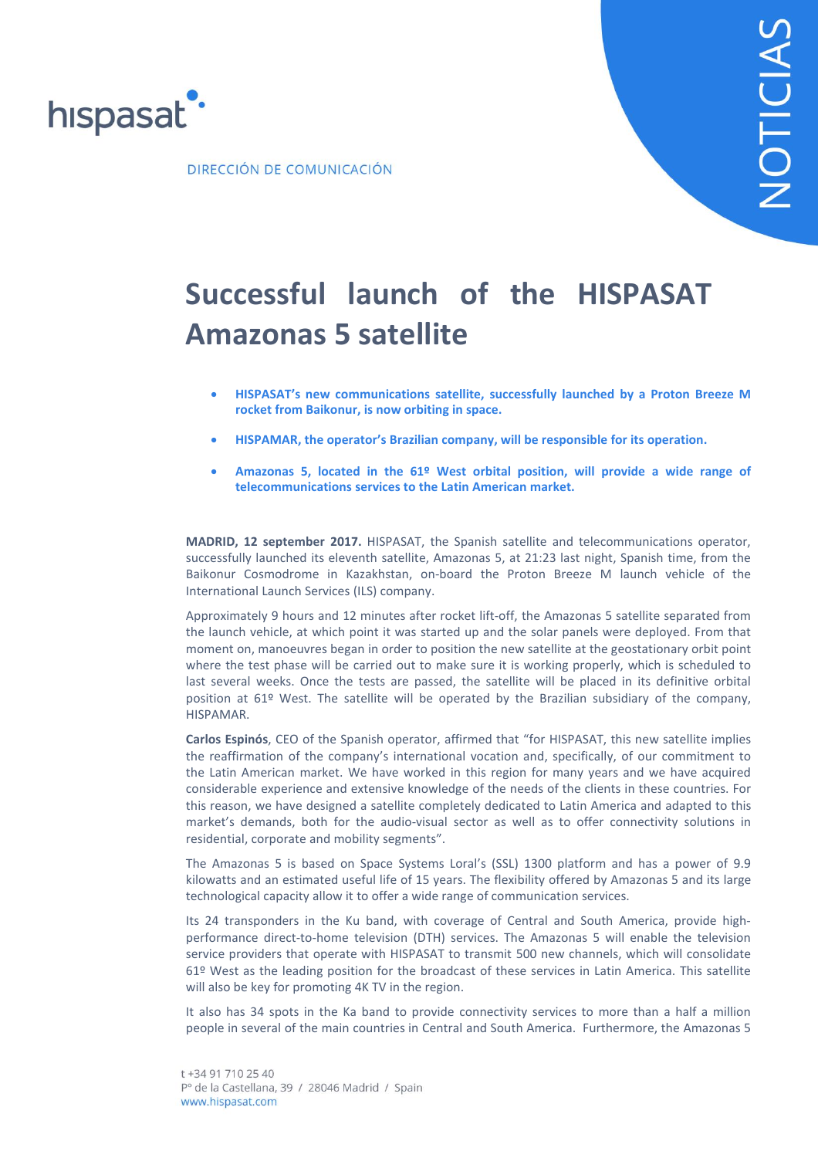

DIRECCIÓN DE COMUNICACIÓN

# **Successful launch of the HISPASAT Amazonas 5 satellite**

- **HISPASAT's new communications satellite, successfully launched by a Proton Breeze M rocket from Baikonur, is now orbiting in space.**
- **HISPAMAR, the operator's Brazilian company, will be responsible for its operation.**
- **Amazonas 5, located in the 61º West orbital position, will provide a wide range of telecommunications services to the Latin American market.**

**MADRID, 12 september 2017.** HISPASAT, the Spanish satellite and telecommunications operator, successfully launched its eleventh satellite, Amazonas 5, at 21:23 last night, Spanish time, from the Baikonur Cosmodrome in Kazakhstan, on-board the Proton Breeze M launch vehicle of the International Launch Services (ILS) company.

Approximately 9 hours and 12 minutes after rocket lift-off, the Amazonas 5 satellite separated from the launch vehicle, at which point it was started up and the solar panels were deployed. From that moment on, manoeuvres began in order to position the new satellite at the geostationary orbit point where the test phase will be carried out to make sure it is working properly, which is scheduled to last several weeks. Once the tests are passed, the satellite will be placed in its definitive orbital position at 61º West. The satellite will be operated by the Brazilian subsidiary of the company, HISPAMAR.

**Carlos Espinós**, CEO of the Spanish operator, affirmed that "for HISPASAT, this new satellite implies the reaffirmation of the company's international vocation and, specifically, of our commitment to the Latin American market. We have worked in this region for many years and we have acquired considerable experience and extensive knowledge of the needs of the clients in these countries. For this reason, we have designed a satellite completely dedicated to Latin America and adapted to this market's demands, both for the audio-visual sector as well as to offer connectivity solutions in residential, corporate and mobility segments".

The Amazonas 5 is based on Space Systems Loral's (SSL) 1300 platform and has a power of 9.9 kilowatts and an estimated useful life of 15 years. The flexibility offered by Amazonas 5 and its large technological capacity allow it to offer a wide range of communication services.

Its 24 transponders in the Ku band, with coverage of Central and South America, provide highperformance direct-to-home television (DTH) services. The Amazonas 5 will enable the television service providers that operate with HISPASAT to transmit 500 new channels, which will consolidate 61º West as the leading position for the broadcast of these services in Latin America. This satellite will also be key for promoting 4K TV in the region.

It also has 34 spots in the Ka band to provide connectivity services to more than a half a million people in several of the main countries in Central and South America. Furthermore, the Amazonas 5